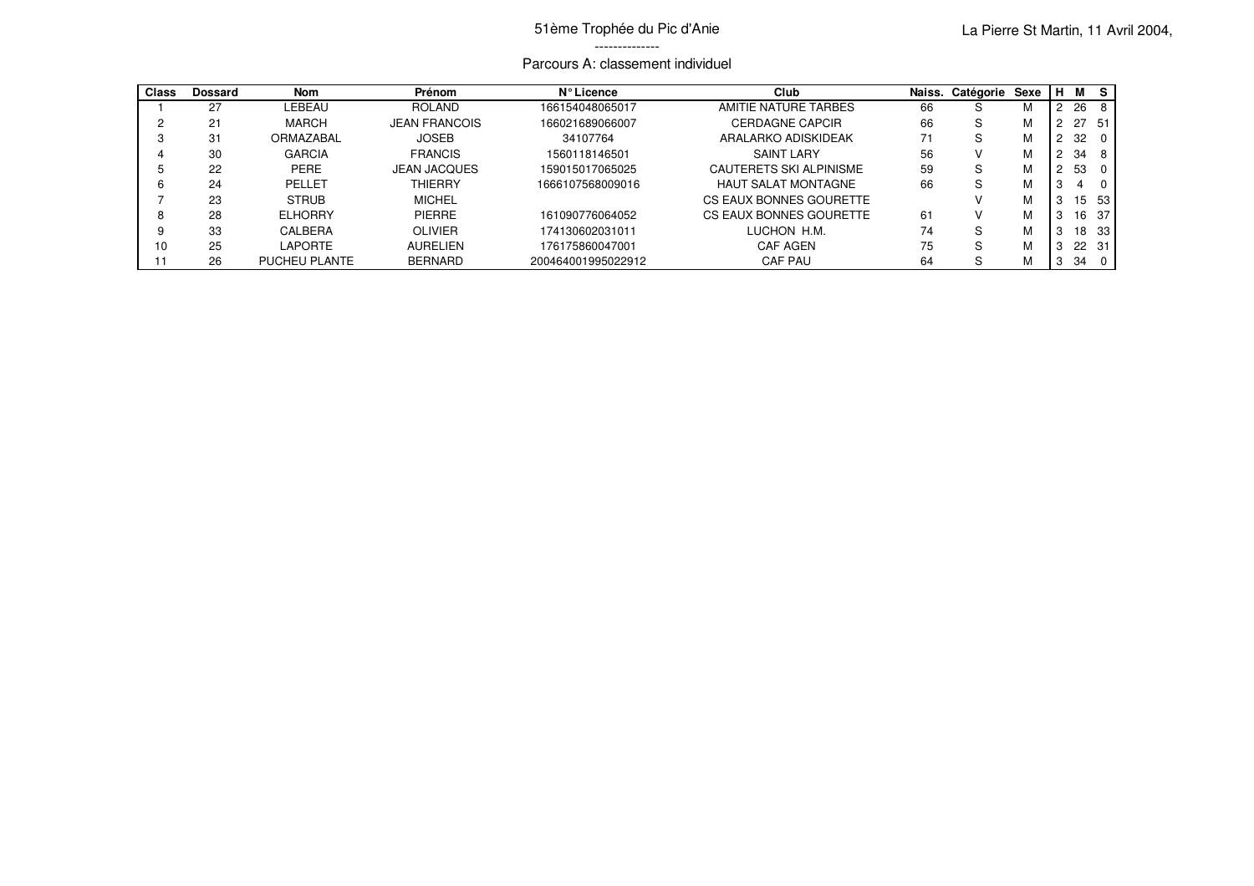## Parcours A: classement individuel

| <b>Class</b> | <b>Dossard</b> | <b>Nom</b>     | <b>Prénom</b>        | N° Licence         | Club                       | Naiss. | Catégorie Sexe |   | M  | -S              |
|--------------|----------------|----------------|----------------------|--------------------|----------------------------|--------|----------------|---|----|-----------------|
|              | 27             | LEBEAU         | <b>ROLAND</b>        | 166154048065017    | AMITIE NATURE TARBES       | 66     | S              | М | 26 |                 |
|              | 21             | <b>MARCH</b>   | <b>JEAN FRANCOIS</b> | 166021689066007    | <b>CERDAGNE CAPCIR</b>     | 66     | S              | М | 27 | - 51            |
|              | 31             | ORMAZABAL      | <b>JOSEB</b>         | 34107764           | ARALARKO ADISKIDEAK        | 71     | S              | M | 32 |                 |
|              | 30             | <b>GARCIA</b>  | <b>FRANCIS</b>       | 1560118146501      | <b>SAINT LARY</b>          | 56     | v              | м | 34 | - 8             |
|              | 22             | <b>PERE</b>    | <b>JEAN JACQUES</b>  | 159015017065025    | CAUTERETS SKI ALPINISME    | 59     | S              | М | 53 |                 |
|              | 24             | PELLET         | <b>THIERRY</b>       | 1666107568009016   | <b>HAUT SALAT MONTAGNE</b> | 66     | S              | М |    |                 |
|              | 23             | <b>STRUB</b>   | <b>MICHEL</b>        |                    | CS EAUX BONNES GOURETTE    |        |                | М | 15 | 53              |
|              | 28             | <b>ELHORRY</b> | <b>PIERRE</b>        | 161090776064052    | CS EAUX BONNES GOURETTE    | 61     | v              | м | 6  | 37              |
|              | 33             | CALBERA        | <b>OLIVIER</b>       | 174130602031011    | LUCHON H.M.                | 74     | S              | М | 18 | 33 <sup>1</sup> |
| 10           | 25             | LAPORTE        | <b>AURELIEN</b>      | 176175860047001    | <b>CAF AGEN</b>            | 75     | S              | М |    | 22 31           |
|              | 26             | PUCHEU PLANTE  | <b>BERNARD</b>       | 200464001995022912 | CAF PAU                    | 64     | S              | М | 34 | - 0             |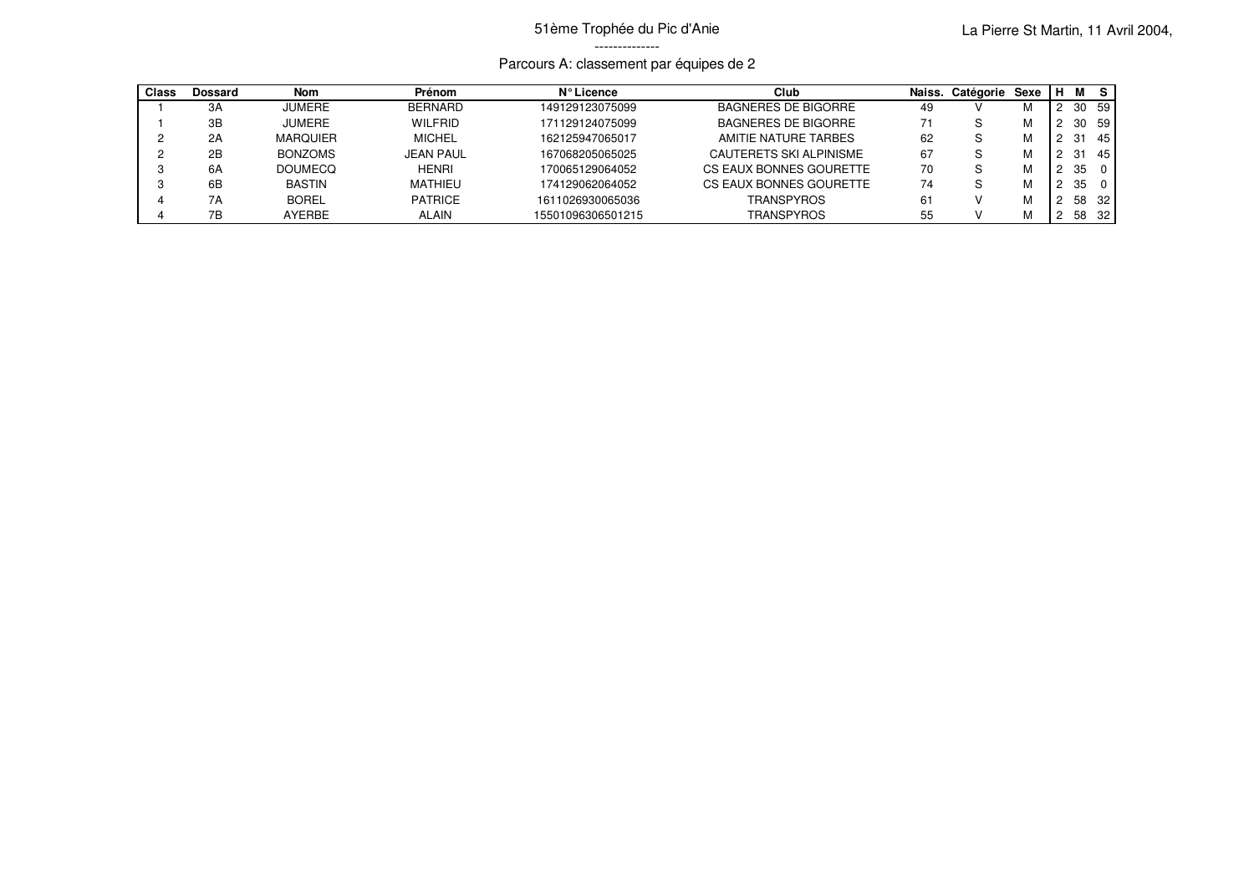## 51ème Trophée du Pic d'Anie --------------

## Parcours A: classement par équipes de 2

| Class | Dossard | <b>Nom</b>      | Prénom         | N° Licence        | Club                       | Naiss. | Catégorie | Sexe | н |    | - S      |
|-------|---------|-----------------|----------------|-------------------|----------------------------|--------|-----------|------|---|----|----------|
|       | 3A      | <b>JUMERE</b>   | <b>BERNARD</b> | 149129123075099   | BAGNERES DE BIGORRE        | 49     |           | ΙVΙ  |   | 30 | 59       |
|       | 3B      | <b>JUMERE</b>   | <b>WILFRID</b> | 171129124075099   | <b>BAGNERES DE BIGORRE</b> | 71     | S         | м    |   | 30 | 59       |
|       | 2A      | <b>MARQUIER</b> | <b>MICHEL</b>  | 162125947065017   | AMITIE NATURE TARBES       | 62     | S         | м    |   |    | 45       |
|       | 2B      | <b>BONZOMS</b>  | JEAN PAUL      | 167068205065025   | CAUTERETS SKI ALPINISME    | 67     | S         | м    |   |    | 45       |
|       | 6A      | <b>DOUMECO</b>  | <b>HENRI</b>   | 170065129064052   | CS EAUX BONNES GOURETTE    | 70     | S         |      |   | 35 | $\Omega$ |
|       | 6B      | <b>BASTIN</b>   | <b>MATHIEU</b> | 174129062064052   | CS EAUX BONNES GOURETTE    | 74     | S.        | м    |   | 35 | $\Omega$ |
|       | 7Α      | <b>BOREL</b>    | <b>PATRICE</b> | 1611026930065036  | TRANSPYROS                 | 61     |           |      |   | 58 | 32       |
|       | 7В      | <b>AYERBE</b>   | <b>ALAIN</b>   | 15501096306501215 | <b>TRANSPYROS</b>          | 55     |           | м    |   | 58 | -32      |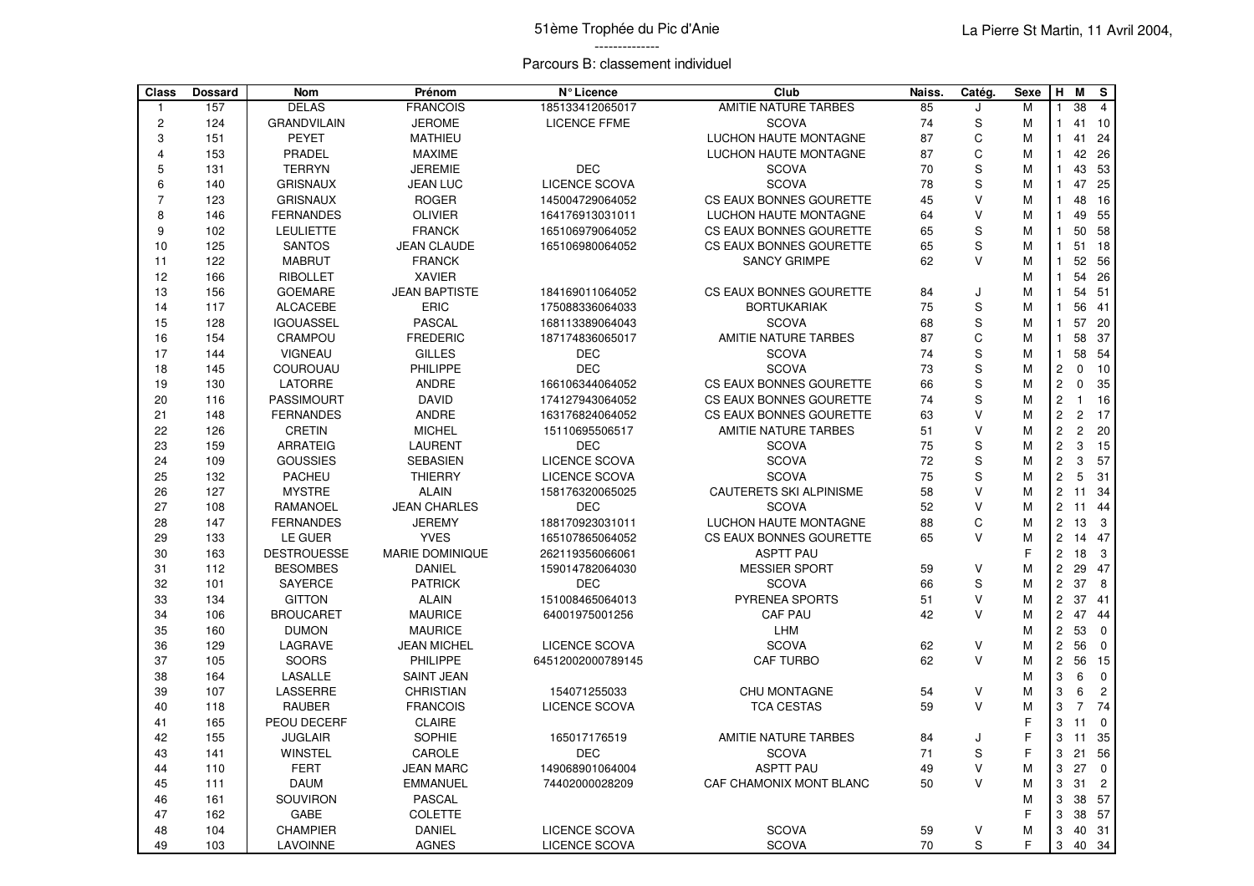## Parcours B: classement individuel

| Class          | <b>Dossard</b> | <b>Nom</b>         | Prénom               | N° Licence           | Club                         | Naiss. | Catég.        | <b>Sexe</b> | H              | M              | ${\bf s}$      |
|----------------|----------------|--------------------|----------------------|----------------------|------------------------------|--------|---------------|-------------|----------------|----------------|----------------|
| $\mathbf{1}$   | 157            | <b>DELAS</b>       | <b>FRANCOIS</b>      | 185133412065017      | <b>AMITIE NATURE TARBES</b>  | 85     | J             | M           |                | 38             | $\overline{4}$ |
| $\sqrt{2}$     | 124            | <b>GRANDVILAIN</b> | <b>JEROME</b>        | <b>LICENCE FFME</b>  | <b>SCOVA</b>                 | 74     | $\mathsf S$   | M           | 1              | 41             | 10             |
| 3              | 151            | <b>PEYET</b>       | <b>MATHIEU</b>       |                      | LUCHON HAUTE MONTAGNE        | 87     | $\mathsf C$   | М           | $\mathbf{1}$   | 41             | 24             |
| $\overline{4}$ | 153            | PRADEL             | <b>MAXIME</b>        |                      | LUCHON HAUTE MONTAGNE        | 87     | $\mathsf C$   | M           | $\mathbf{1}$   |                | 42 26          |
| $\overline{5}$ | 131            | <b>TERRYN</b>      | <b>JEREMIE</b>       | <b>DEC</b>           | <b>SCOVA</b>                 | 70     | $\mathbf S$   | M           | $\mathbf{1}$   | 43             | 53             |
| 6              | 140            | <b>GRISNAUX</b>    | <b>JEAN LUC</b>      | LICENCE SCOVA        | <b>SCOVA</b>                 | 78     | S             | M           | $\mathbf{1}$   | 47             | 25             |
| $\overline{7}$ | 123            | <b>GRISNAUX</b>    | <b>ROGER</b>         | 145004729064052      | CS EAUX BONNES GOURETTE      | 45     | $\vee$        | M           | $\mathbf{1}$   | 48             | 16             |
| 8              | 146            | <b>FERNANDES</b>   | <b>OLIVIER</b>       | 164176913031011      | LUCHON HAUTE MONTAGNE        | 64     | $\vee$        | M           | $\mathbf{1}$   | 49             | 55             |
| 9              | 102            | <b>LEULIETTE</b>   | <b>FRANCK</b>        | 165106979064052      | CS EAUX BONNES GOURETTE      | 65     | $\mathsf S$   | M           | $\mathbf{1}$   | 50             | 58             |
| 10             | 125            | <b>SANTOS</b>      | <b>JEAN CLAUDE</b>   | 165106980064052      | CS EAUX BONNES GOURETTE      | 65     | S             | M           | $\mathbf{1}$   | 51             | 18             |
| 11             | 122            | <b>MABRUT</b>      | <b>FRANCK</b>        |                      | <b>SANCY GRIMPE</b>          | 62     | V             | M           | $\mathbf{1}$   | 52             | 56             |
| 12             | 166            | <b>RIBOLLET</b>    | <b>XAVIER</b>        |                      |                              |        |               | M           | $\mathbf{1}$   | 54             | 26             |
| 13             | 156            | <b>GOEMARE</b>     | <b>JEAN BAPTISTE</b> | 184169011064052      | CS EAUX BONNES GOURETTE      | 84     | J             | M           | $\mathbf{1}$   | 54             | 51             |
| 14             | 117            | <b>ALCACEBE</b>    | <b>ERIC</b>          | 175088336064033      | <b>BORTUKARIAK</b>           | 75     | S             | M           | $\mathbf{1}$   | 56             | 41             |
| 15             | 128            | <b>IGOUASSEL</b>   | <b>PASCAL</b>        | 168113389064043      | <b>SCOVA</b>                 | 68     | S             | M           | $\mathbf{1}$   | 57             | 20             |
| 16             | 154            | CRAMPOU            | <b>FREDERIC</b>      | 187174836065017      | <b>AMITIE NATURE TARBES</b>  | 87     | $\mathsf C$   | M           | $\mathbf{1}$   | 58             | 37             |
| 17             | 144            | <b>VIGNEAU</b>     | <b>GILLES</b>        | <b>DEC</b>           | <b>SCOVA</b>                 | 74     | $\mathsf S$   | M           | $\mathbf{1}$   | 58             | 54             |
| 18             | 145            | COUROUAU           | PHILIPPE             | <b>DEC</b>           | <b>SCOVA</b>                 | 73     | S             | M           | $\mathbf 2$    | $\Omega$       | 10             |
| 19             | 130            | <b>LATORRE</b>     | <b>ANDRE</b>         | 166106344064052      | CS EAUX BONNES GOURETTE      | 66     | $\mathsf S$   | M           | $\overline{c}$ | $\mathbf 0$    | 35             |
| 20             | 116            | <b>PASSIMOURT</b>  | <b>DAVID</b>         | 174127943064052      | CS EAUX BONNES GOURETTE      | 74     | $\mathbf S$   | M           | $\overline{c}$ | $\mathbf{1}$   | 16             |
| 21             | 148            | <b>FERNANDES</b>   | <b>ANDRE</b>         | 163176824064052      | CS EAUX BONNES GOURETTE      | 63     | $\vee$        | M           | $\overline{2}$ | $\overline{c}$ | 17             |
| 22             | 126            | <b>CRETIN</b>      | <b>MICHEL</b>        | 15110695506517       | AMITIE NATURE TARBES         | 51     | $\vee$        | M           | $\overline{c}$ | $\overline{c}$ | 20             |
| 23             | 159            | <b>ARRATEIG</b>    | <b>LAURENT</b>       | <b>DEC</b>           | <b>SCOVA</b>                 | 75     | ${\mathbb S}$ | M           | $\overline{c}$ | 3              | 15             |
| 24             | 109            | <b>GOUSSIES</b>    | <b>SEBASIEN</b>      | <b>LICENCE SCOVA</b> | <b>SCOVA</b>                 | 72     | S             | M           | $\overline{c}$ | 3              | 57             |
| 25             | 132            | <b>PACHEU</b>      | <b>THIERRY</b>       | <b>LICENCE SCOVA</b> | <b>SCOVA</b>                 | 75     | $\mathsf S$   | M           | $\overline{c}$ | 5              | 31             |
| 26             | 127            | <b>MYSTRE</b>      | <b>ALAIN</b>         | 158176320065025      | CAUTERETS SKI ALPINISME      | 58     | $\vee$        | M           | $\overline{2}$ | 11             | 34             |
| 27             | 108            | <b>RAMANOEL</b>    | <b>JEAN CHARLES</b>  | <b>DEC</b>           | <b>SCOVA</b>                 | 52     | V             | M           | $\overline{c}$ | 11             | 44             |
| 28             | 147            | <b>FERNANDES</b>   | <b>JEREMY</b>        | 188170923031011      | <b>LUCHON HAUTE MONTAGNE</b> | 88     | C             | M           | $\overline{2}$ | 13             | 3              |
| 29             | 133            | LE GUER            | <b>YVES</b>          | 165107865064052      | CS EAUX BONNES GOURETTE      | 65     | $\vee$        | M           | $\overline{c}$ | 14             | 47             |
| 30             | 163            | <b>DESTROUESSE</b> | MARIE DOMINIQUE      | 262119356066061      | <b>ASPTT PAU</b>             |        |               | E           | $\overline{c}$ | 18             | 3              |
| 31             | 112            | <b>BESOMBES</b>    | <b>DANIEL</b>        | 159014782064030      | <b>MESSIER SPORT</b>         | 59     | $\vee$        | M           | $\overline{c}$ | 29             | 47             |
| 32             | 101            | <b>SAYERCE</b>     | <b>PATRICK</b>       | <b>DEC</b>           | <b>SCOVA</b>                 | 66     | $\mathbf S$   | M           | $\overline{c}$ | 37             | 8              |
| 33             | 134            | <b>GITTON</b>      | <b>ALAIN</b>         | 151008465064013      | PYRENEA SPORTS               | 51     | V             | M           | $\mathbf 2$    | 37             | 41             |
| 34             | 106            | <b>BROUCARET</b>   | <b>MAURICE</b>       | 64001975001256       | <b>CAF PAU</b>               | 42     | $\vee$        | M           | $\overline{c}$ | 47             | 44             |
| 35             | 160            | <b>DUMON</b>       | <b>MAURICE</b>       |                      | LHM                          |        |               | M           | $\overline{c}$ | 53             | $\mathbf 0$    |
| 36             | 129            | LAGRAVE            | <b>JEAN MICHEL</b>   | <b>LICENCE SCOVA</b> | <b>SCOVA</b>                 | 62     | V             | M           | $\overline{c}$ | 56             | $\mathbf 0$    |
| 37             | 105            | <b>SOORS</b>       | PHILIPPE             | 64512002000789145    | <b>CAF TURBO</b>             | 62     | $\vee$        | M           | $\mathbf 2$    | 56             | 15             |
| 38             | 164            | LASALLE            | <b>SAINT JEAN</b>    |                      |                              |        |               | M           | 3              | 6              | $\mathbf 0$    |
| 39             | 107            | LASSERRE           | <b>CHRISTIAN</b>     | 154071255033         | <b>CHU MONTAGNE</b>          | 54     | $\sf V$       | M           | 3              | 6              | $\mathbf 2$    |
| 40             | 118            | <b>RAUBER</b>      | <b>FRANCOIS</b>      | LICENCE SCOVA        | <b>TCA CESTAS</b>            | 59     | $\vee$        | M           | 3              | $\overline{7}$ | 74             |
| 41             | 165            | PEOU DECERF        | <b>CLAIRE</b>        |                      |                              |        |               | E           | 3              | 11             | $\Omega$       |
| 42             | 155            | <b>JUGLAIR</b>     | <b>SOPHIE</b>        | 165017176519         | AMITIE NATURE TARBES         | 84     | J             | F           | 3              | 11             | 35             |
| 43             | 141            | <b>WINSTEL</b>     | CAROLE               | <b>DEC</b>           | <b>SCOVA</b>                 | 71     | S             | F           | 3              | 21             | 56             |
| 44             | 110            | <b>FERT</b>        | <b>JEAN MARC</b>     | 149068901064004      | <b>ASPTT PAU</b>             | 49     | V             | M           | 3              | 27             | $\mathbf 0$    |
| 45             | 111            | <b>DAUM</b>        | <b>EMMANUEL</b>      | 74402000028209       | CAF CHAMONIX MONT BLANC      | 50     | $\vee$        | M           | 3              | 31             | $\overline{c}$ |
| 46             | 161            | SOUVIRON           | <b>PASCAL</b>        |                      |                              |        |               | M           | 3              | 38             | 57             |
| 47             | 162            | GABE               | <b>COLETTE</b>       |                      |                              |        |               | F           | 3              | 38             | 57             |
| 48             | 104            | <b>CHAMPIER</b>    | DANIEL               | <b>LICENCE SCOVA</b> | <b>SCOVA</b>                 | 59     | V             | M           | 3              | 40             | 31             |
| 49             | 103            | <b>LAVOINNE</b>    | <b>AGNES</b>         | <b>LICENCE SCOVA</b> | <b>SCOVA</b>                 | 70     | $\mathbf S$   | F           | 3              |                | 40 34          |